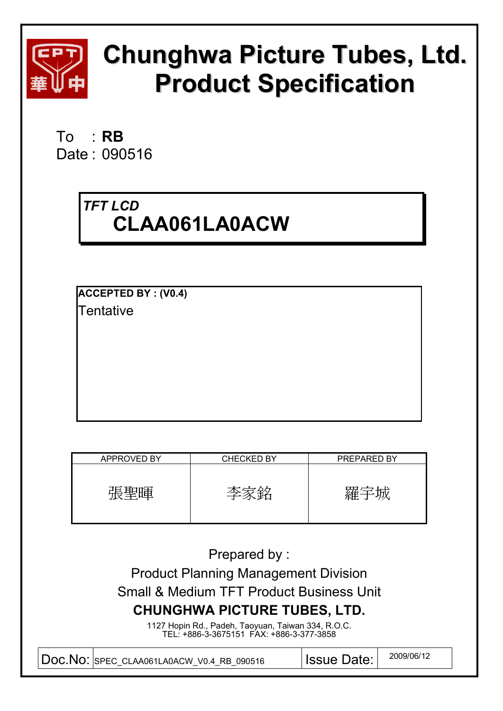

# **Chunghwa Picture Tubes, Ltd. Product Specification**

To : **RB**  Date : 090516

# *TFT LCD*  **CLAA061LA0ACW**

**ACCEPTED BY : (V0.4) Tentative** 

| APPROVED BY | <b>CHECKED BY</b> | <b>PREPARED BY</b> |
|-------------|-------------------|--------------------|
| 暉<br>虚型     | Æ.                | 雍'                 |

Prepared by :

Product Planning Management Division Small & Medium TFT Product Business Unit **CHUNGHWA PICTURE TUBES, LTD.** 

> 1127 Hopin Rd., Padeh, Taoyuan, Taiwan 334, R.O.C. TEL: +886-3-3675151 FAX: +886-3-377-3858

Doc.No: SPEC\_CLAA061LA0ACW\_V0.4\_RB\_090516 | Issue Date: | 2009/06/12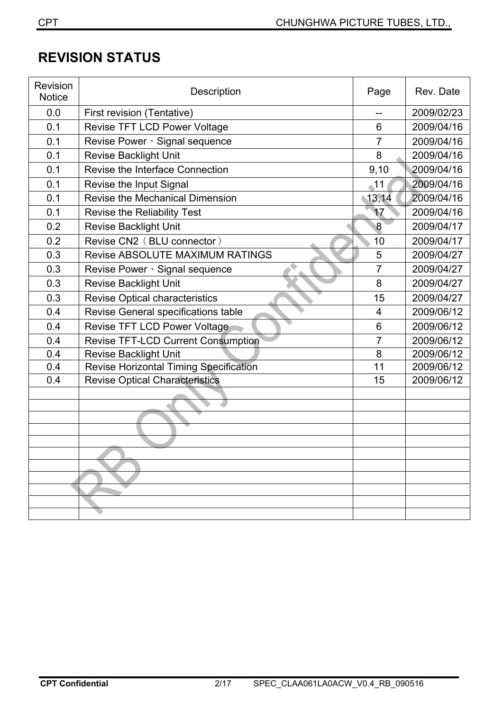# **REVISION STATUS**

| Revision<br><b>Notice</b> | Description                               | Page           | Rev. Date  |
|---------------------------|-------------------------------------------|----------------|------------|
| 0.0                       | First revision (Tentative)                | --             | 2009/02/23 |
| 0.1                       | Revise TFT LCD Power Voltage              | 6              | 2009/04/16 |
| 0.1                       | Revise Power · Signal sequence            | $\overline{7}$ | 2009/04/16 |
| 0.1                       | <b>Revise Backlight Unit</b>              | 8              | 2009/04/16 |
| 0.1                       | Revise the Interface Connection           | 9,10           | 2009/04/16 |
| 0.1                       | Revise the Input Signal                   | $\triangle$ 11 | 2009/04/16 |
| 0.1                       | <b>Revise the Mechanical Dimension</b>    | 13,14          | 2009/04/16 |
| 0.1                       | Revise the Reliability Test               | 17             | 2009/04/16 |
| 0.2                       | <b>Revise Backlight Unit</b>              | 8              | 2009/04/17 |
| 0.2                       | Revise CN2 (BLU connector)                | 10             | 2009/04/17 |
| 0.3                       | Revise ABSOLUTE MAXIMUM RATINGS           | 5              | 2009/04/27 |
| 0.3                       | Revise Power · Signal sequence            | $\overline{7}$ | 2009/04/27 |
| 0.3                       | <b>Revise Backlight Unit</b>              | 8              | 2009/04/27 |
| 0.3                       | <b>Revise Optical characteristics</b>     | 15             | 2009/04/27 |
| 0.4                       | Revise General specifications table       | 4              | 2009/06/12 |
| 0.4                       | Revise TFT LCD Power Voltage              | 6              | 2009/06/12 |
| 0.4                       | <b>Revise TFT-LCD Current Consumption</b> | 7              | 2009/06/12 |
| 0.4                       | <b>Revise Backlight Unit</b>              | 8              | 2009/06/12 |
| 0.4                       | Revise Horizontal Timing Specification    | 11             | 2009/06/12 |
| 0.4                       | <b>Revise Optical Characteristics</b>     | 15             | 2009/06/12 |
|                           |                                           |                |            |
|                           |                                           |                |            |
|                           |                                           |                |            |
|                           |                                           |                |            |
|                           |                                           |                |            |
|                           |                                           |                |            |
|                           |                                           |                |            |
|                           |                                           |                |            |
|                           |                                           |                |            |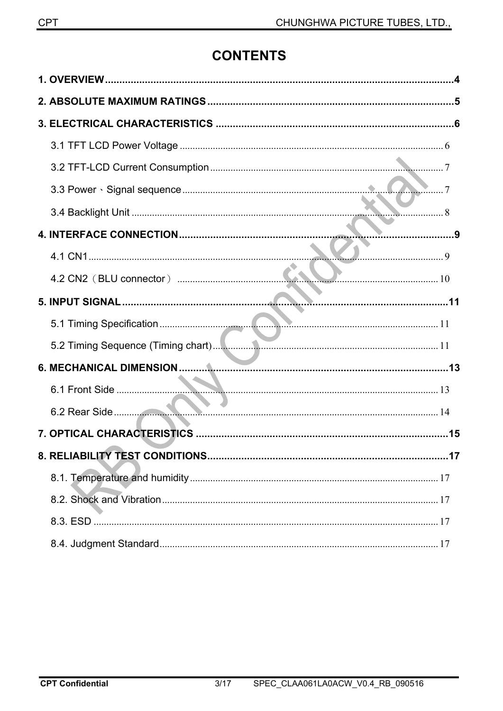# **CONTENTS**

| $7\qquad$ |
|-----------|
|           |
|           |
|           |
|           |
|           |
|           |
|           |
|           |
|           |
|           |
|           |
|           |
|           |
|           |
|           |
|           |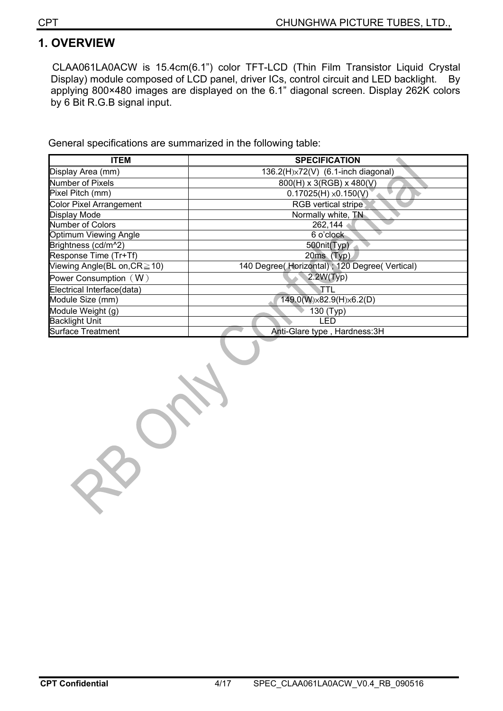## **1. OVERVIEW**

CLAA061LA0ACW is 15.4cm(6.1") color TFT-LCD (Thin Film Transistor Liquid Crystal Display) module composed of LCD panel, driver ICs, control circuit and LED backlight. By applying 800×480 images are displayed on the 6.1" diagonal screen. Display 262K colors by 6 Bit R.G.B signal input.

General specifications are summarized in the following table:

| <b>ITEM</b>                        | <b>SPECIFICATION</b>                           |
|------------------------------------|------------------------------------------------|
| Display Area (mm)                  | 136.2(H)×72(V) (6.1-inch diagonal)             |
| Number of Pixels                   | 800(H) x 3(RGB) x 480(V)                       |
| Pixel Pitch (mm)                   | $0.17025(H) \times 0.150(V)$                   |
| <b>Color Pixel Arrangement</b>     | RGB vertical stripe                            |
| <b>Display Mode</b>                | Normally white, TN                             |
| Number of Colors                   | 262,144                                        |
| Optimum Viewing Angle              | 6 o'clock                                      |
| Brightness (cd/m^2)                | 500nit(Typ)                                    |
| Response Time (Tr+Tf)              | $20ms$ (Typ)                                   |
| Viewing Angle(BL on, $CR \ge 10$ ) | 140 Degree( Horizontal); 120 Degree( Vertical) |
| Power Consumption $(W)$            | 2.2W(Typ)                                      |
| Electrical Interface(data)         | TTL                                            |
| Module Size (mm)                   | 149.0(W)x82.9(H)x6.2(D)                        |
| Module Weight (g)                  | $\overline{1}30$ (Typ)                         |
| <b>Backlight Unit</b>              | LED                                            |
| <b>Surface Treatment</b>           | Anti-Glare type, Hardness: 3H                  |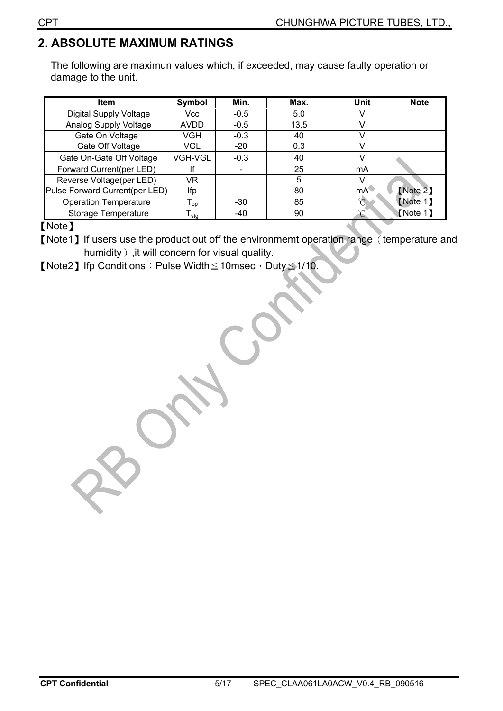## **2. ABSOLUTE MAXIMUM RATINGS**

The following are maximun values which, if exceeded, may cause faulty operation or damage to the unit.

| <b>Item</b>                    | Symbol                      | Min.   | Max. | <b>Unit</b> | <b>Note</b> |
|--------------------------------|-----------------------------|--------|------|-------------|-------------|
| <b>Digital Supply Voltage</b>  | <b>Vcc</b>                  | $-0.5$ | 5.0  |             |             |
| Analog Supply Voltage          | <b>AVDD</b>                 | $-0.5$ | 13.5 |             |             |
| Gate On Voltage                | VGH                         | $-0.3$ | 40   |             |             |
| Gate Off Voltage               | VGL                         | $-20$  | 0.3  |             |             |
| Gate On-Gate Off Voltage       | <b>VGH-VGL</b>              | $-0.3$ | 40   |             |             |
| Forward Current(per LED)       |                             |        | 25   | mA          |             |
| Reverse Voltage(per LED)       | VR                          |        | 5    |             |             |
| Pulse Forward Current(per LED) | lfp                         |        | 80   | mA          | [Note 2]    |
| <b>Operation Temperature</b>   | ${\mathsf T}_{\textsf{op}}$ | $-30$  | 85   |             | Note 1      |
| Storage Temperature            | l <sub>stq</sub>            | $-40$  | 90   | $\sim$      | Note 1      |

#### [Note]

[Note1] If users use the product out off the environmemt operation range (temperature and humidity), it will concern for visual quality.

**[Note2]** Ifp Conditions : Pulse Width $\leq$ 10msec, Duty $\leq$ 1/10.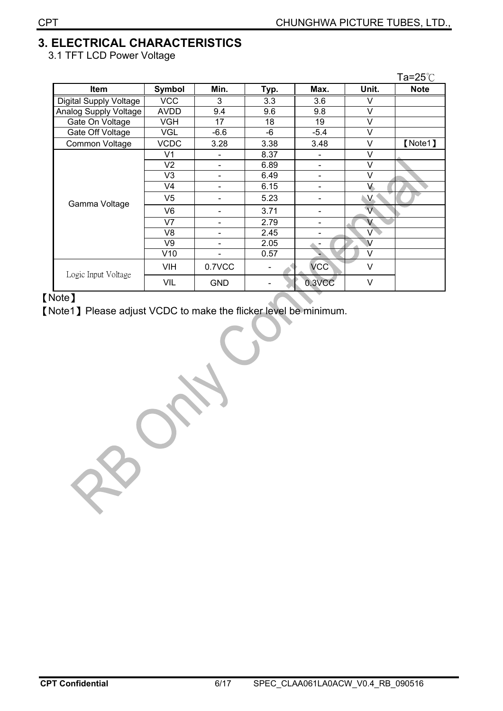# **3. ELECTRICAL CHARACTERISTICS**

3.1 TFT LCD Power Voltage

|                        |                |            |      |            |                | Ta=25 $°C$  |
|------------------------|----------------|------------|------|------------|----------------|-------------|
| <b>Item</b>            | <b>Symbol</b>  | Min.       | Typ. | Max.       | Unit.          | <b>Note</b> |
| Digital Supply Voltage | <b>VCC</b>     | 3          | 3.3  | 3.6        | v              |             |
| Analog Supply Voltage  | AVDD           | 9.4        | 9.6  | 9.8        | V              |             |
| Gate On Voltage        | <b>VGH</b>     | 17         | 18   | 19         | V              |             |
| Gate Off Voltage       | <b>VGL</b>     | $-6.6$     | -6   | $-5.4$     | V              |             |
| Common Voltage         | <b>VCDC</b>    | 3.28       | 3.38 | 3.48       | V              | [Note1]     |
|                        | V <sub>1</sub> |            | 8.37 |            | V              |             |
|                        | V <sub>2</sub> |            | 6.89 |            | V              |             |
|                        | V <sub>3</sub> |            | 6.49 |            | V              |             |
|                        | V <sub>4</sub> |            | 6.15 |            | V              |             |
| Gamma Voltage          | V5             |            | 5.23 |            | $\vee$         |             |
|                        | V <sub>6</sub> |            | 3.71 |            | $\overline{V}$ |             |
|                        | V <sub>7</sub> |            | 2.79 |            | V              |             |
|                        | V <sub>8</sub> |            | 2.45 |            | V              |             |
|                        | V9             |            | 2.05 |            | $\vee$         |             |
|                        | V10            |            | 0.57 |            | V              |             |
| Logic Input Voltage    | <b>VIH</b>     | 0.7VCC     |      | <b>VCC</b> | $\vee$         |             |
|                        | VIL            | <b>GND</b> |      | 0.3VCC     | ٧              |             |

[Note]

[Note1] Please adjust VCDC to make the flicker level be minimum.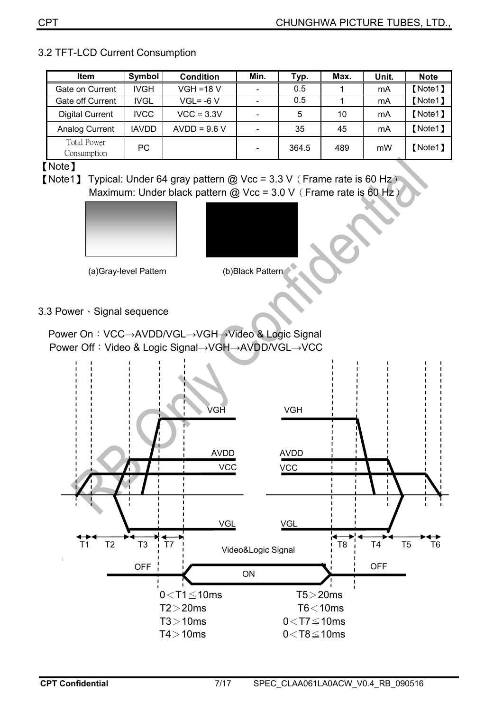| <b>Item</b>                       | Symbol       | <b>Condition</b> | Min. | Typ.  | Max. | Unit. | <b>Note</b> |
|-----------------------------------|--------------|------------------|------|-------|------|-------|-------------|
| Gate on Current                   | <b>IVGH</b>  | $VGH = 18 V$     |      | 0.5   |      | mA    | [Note1]     |
| Gate off Current                  | <b>IVGL</b>  | $VGL = -6 V$     |      | 0.5   |      | mA    | [Note1]     |
| <b>Digital Current</b>            | <b>IVCC</b>  | $VCC = 3.3V$     |      | 5     | 10   | mA    | [Note1]     |
| Analog Current                    | <b>IAVDD</b> | $AVDD = 9.6 V$   |      | 35    | 45   | mA    | [Note1]     |
| <b>Total Power</b><br>Consumption | PC.          |                  |      | 364.5 | 489  | mW    | 【Note1】     |

#### 3.2 TFT-LCD Current Consumption

[Note]

[Note1] Typical: Under 64 gray pattern @ Vcc =  $3.3$  V $($  Frame rate is 60 Hz $)$ Maximum: Under black pattern @ Vcc =  $3.0$  V $($  Frame rate is 60 Hz $)$ 





ʳʳʳʳʳʳʳʳʳʳʳʳʳʳʳʳʳʳʳʳʳʳʳ(a)Gray-level Pattern (b)Black Pattern

3.3 Power · Signal sequence

Power On: VCC→AVDD/VGL→VGH→Video & Logic Signal Power Off: Video & Logic Signal→VGH→AVDD/VGL→VCC

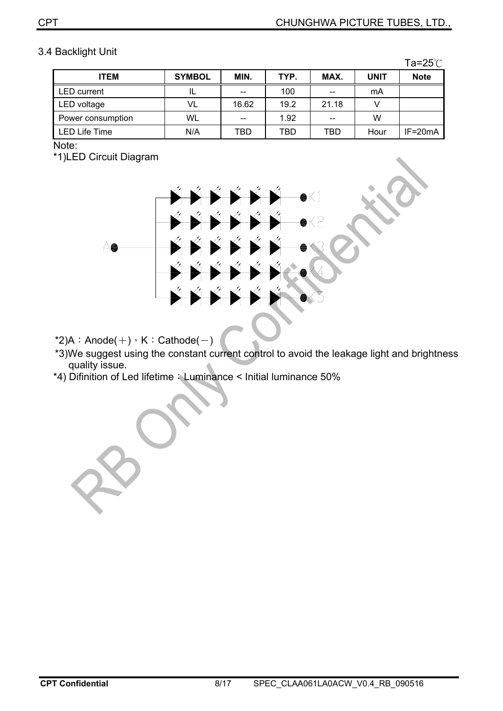#### 3.4 Backlight Unit

|                    |               |       |            |       |             | Ta= $25^\circ$ C |
|--------------------|---------------|-------|------------|-------|-------------|------------------|
| <b>ITEM</b>        | <b>SYMBOL</b> | MIN.  | TYP.       | MAX.  | <b>UNIT</b> | <b>Note</b>      |
| <b>LED</b> current | IL            | --    | 100        | --    | mA          |                  |
| LED voltage        | VL            | 16.62 | 19.2       | 21.18 |             |                  |
| Power consumption  | WL            | --    | 1.92       | --    | W           |                  |
| LED Life Time      | N/A           | TBD   | <b>TBD</b> | TBD   | Hour        | $IF = 20mA$      |

Note:

\*1)LED Circuit Diagram



\*2)A: Anode( $+)$ , K: Cathode( $-$ )

- \*3)We suggest using the constant current control to avoid the leakage light and brightness quality issue.
- \*4) Difinition of Led lifetime: Luminance < Initial luminance 50%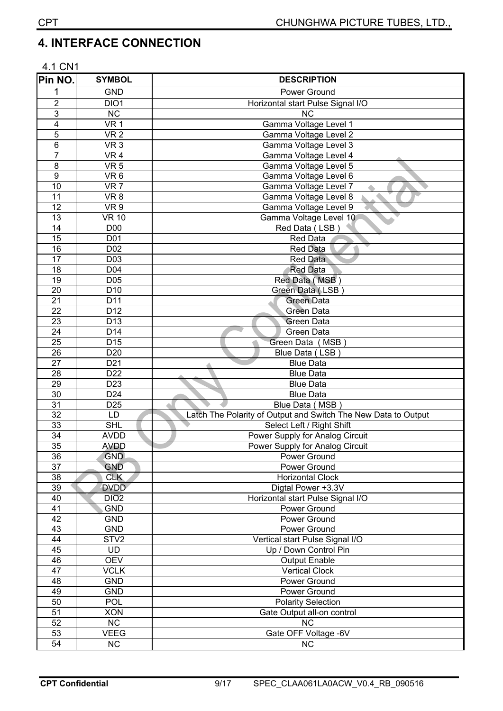## **4.**ʳ**INTERFACE CONNECTION**

| 4.1 CN1         |                                    |                                                                |
|-----------------|------------------------------------|----------------------------------------------------------------|
| Pin NO.         | <b>SYMBOL</b>                      | <b>DESCRIPTION</b>                                             |
| 1               | <b>GND</b>                         | Power Ground                                                   |
| $\overline{c}$  | DIO1                               | Horizontal start Pulse Signal I/O                              |
| 3               | <b>NC</b>                          | <b>NC</b>                                                      |
| 4               | VR <sub>1</sub>                    | Gamma Voltage Level 1                                          |
| 5               | VR <sub>2</sub>                    | Gamma Voltage Level 2                                          |
| 6               | VR <sub>3</sub>                    | Gamma Voltage Level 3                                          |
| 7               | VR <sub>4</sub>                    | Gamma Voltage Level 4                                          |
| 8               | VR <sub>5</sub>                    | Gamma Voltage Level 5                                          |
| $\overline{9}$  | VR <sub>6</sub>                    | Gamma Voltage Level 6                                          |
| $\overline{10}$ | VR <sub>7</sub>                    | Gamma Voltage Level 7                                          |
| 11              | VR <sub>8</sub>                    | Gamma Voltage Level 8                                          |
| 12              | VR <sub>9</sub>                    | Gamma Voltage Level 9                                          |
| 13              | <b>VR 10</b>                       | Gamma Voltage Level 10                                         |
| 14              | D <sub>0</sub>                     | Red Data (LSB)                                                 |
| $\overline{15}$ | D01                                | Red Data                                                       |
| 16              | D <sub>02</sub>                    | Red Data                                                       |
| 17              | D <sub>03</sub>                    | Red Data                                                       |
| 18              | D04                                | <b>Red Data</b>                                                |
| 19              | D05                                | Red Data (MSB                                                  |
| 20<br>21        | D <sub>10</sub>                    | Green Data (LSB                                                |
| $\overline{22}$ | D <sub>11</sub><br>D <sub>12</sub> | <b>Green Data</b><br><b>Green Data</b>                         |
| 23              | D <sub>13</sub>                    | <b>Green Data</b>                                              |
| 24              | D14                                | Green Data                                                     |
| 25              | $D\overline{15}$                   | Green Data (MSB                                                |
| 26              | D <sub>20</sub>                    | Blue Data (LSB)                                                |
| $\overline{27}$ | D <sub>21</sub>                    | <b>Blue Data</b>                                               |
| 28              | $\overline{D22}$                   | <b>Blue Data</b>                                               |
| 29              | D <sub>23</sub>                    | <b>Blue Data</b>                                               |
| 30              | D <sub>24</sub>                    | <b>Blue Data</b>                                               |
| 31              | D <sub>25</sub>                    | Blue Data (MSB)                                                |
| $\overline{32}$ | LD                                 | Latch The Polarity of Output and Switch The New Data to Output |
| 33              | <b>SHL</b>                         | Select Left / Right Shift                                      |
| $\overline{34}$ | <b>AVDD</b>                        | Power Supply for Analog Circuit                                |
| 35              | <b>AVDD</b>                        | Power Supply for Analog Circuit                                |
| 36              | <b>GND</b>                         | Power Ground                                                   |
| $\overline{37}$ | <b>GND</b>                         | Power Ground                                                   |
| 38              | <b>CLK</b>                         | <b>Horizontal Clock</b>                                        |
| 39              | <b>DVDD</b>                        | Digtal Power +3.3V                                             |
| 40              | DIO <sub>2</sub>                   | Horizontal start Pulse Signal I/O                              |
| 41              | <b>GND</b>                         | Power Ground                                                   |
| 42              | <b>GND</b>                         | Power Ground                                                   |
| 43              | <b>GND</b>                         | <b>Power Ground</b>                                            |
| 44              | STV <sub>2</sub>                   | Vertical start Pulse Signal I/O                                |
| 45              | <b>UD</b>                          | Up / Down Control Pin                                          |
| 46              | <b>OEV</b>                         | <b>Output Enable</b>                                           |
| $\overline{47}$ | <b>VCLK</b>                        | <b>Vertical Clock</b>                                          |
| 48<br>49        | <b>GND</b><br><b>GND</b>           | Power Ground                                                   |
| 50              | POL                                | Power Ground<br><b>Polarity Selection</b>                      |
| 51              | <b>XON</b>                         | Gate Output all-on control                                     |
| 52              | NC                                 | <b>NC</b>                                                      |
| 53              | <b>VEEG</b>                        | Gate OFF Voltage -6V                                           |
| 54              | NC                                 | NC                                                             |
|                 |                                    |                                                                |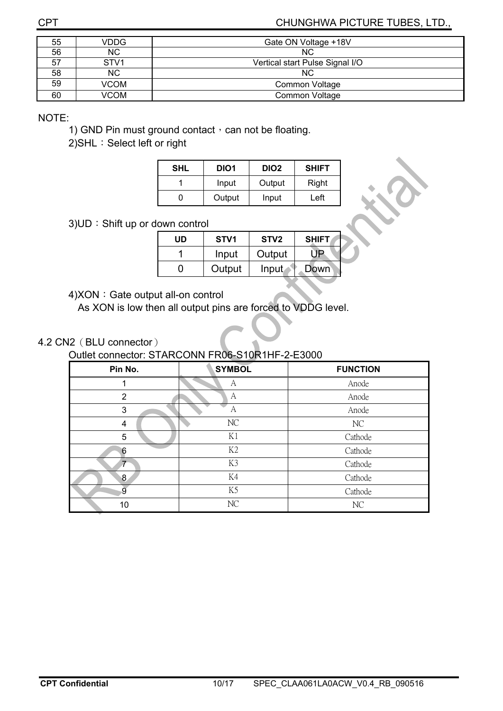CHUNGHWA PICTURE TUBES, LTD.,

| 55 | <b>VDDG</b>      | Gate ON Voltage +18V            |
|----|------------------|---------------------------------|
| 56 | NC.              | NC.                             |
| 57 | STV <sub>1</sub> | Vertical start Pulse Signal I/O |
| 58 | NC.              | NC.                             |
| 59 | <b>VCOM</b>      | Common Voltage                  |
| 60 | VCOM             | Common Voltage                  |

NOTE:

1) GND Pin must ground contact  $\cdot$  can not be floating.

2) SHL: Select left or right

| <b>SHL</b> | DIO1   | DIO <sub>2</sub> | <b>SHIFT</b> |
|------------|--------|------------------|--------------|
|            | Input  | Output           | Right        |
|            | Output | Input            | Left         |

3) UD: Shift up or down control

| UD | STV <sub>1</sub> | STV <sub>2</sub> | <b>SHIFT</b> |
|----|------------------|------------------|--------------|
|    | Input            | Output           | JP.          |
|    | Output           | Input            | Down         |

4)XON: Gate output all-on control

As XON is low then all output pins are forced to VDDG level.

4.2 CN2 (BLU connector)

Outlet connector: STARCONN FR06-S10R1HF-2-E3000

| Pin No.        | <b>SYMBOL</b>  | <b>FUNCTION</b> |
|----------------|----------------|-----------------|
|                | A              | Anode           |
| $\overline{2}$ | А              | Anode           |
| 3              | A              | Anode           |
| 4              | NC             | NC              |
| 5              | K1             | Cathode         |
| 6              | K2             | Cathode         |
| $\tau$         | K3             | Cathode         |
| 8.             | K4             | Cathode         |
| 9              | K <sub>5</sub> | Cathode         |
| 10             | NC             | NC              |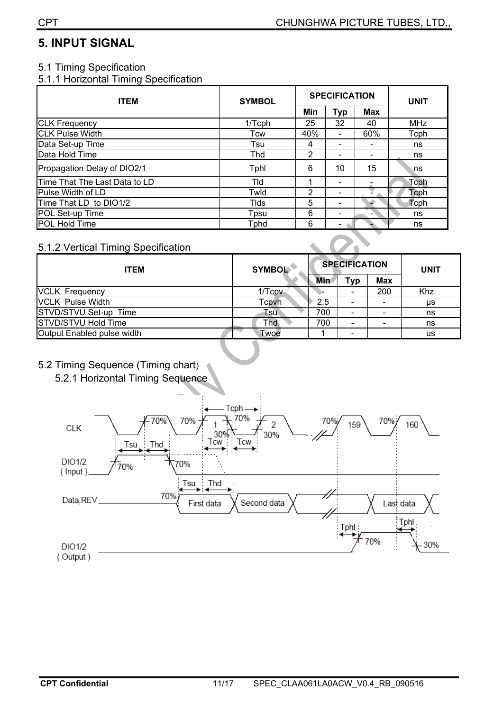## **5. INPUT SIGNAL**

#### 5.1 Timing Specification

5.1.1 Horizontal Timing Specification

| <b>ITEM</b>                   | <b>SYMBOL</b> | <b>SPECIFICATION</b> |            |     | <b>UNIT</b> |
|-------------------------------|---------------|----------------------|------------|-----|-------------|
|                               |               | Min                  | <b>Typ</b> | Max |             |
| <b>CLK Frequency</b>          | 1/Tcph        | 25                   | 32         | 40  | <b>MHz</b>  |
| <b>CLK Pulse Width</b>        | Tcw           | 40%                  |            | 60% | Tcph        |
| Data Set-up Time              | Tsu           | 4                    |            |     | ns          |
| Data Hold Time                | Thd           | 2                    |            |     | ns          |
| Propagation Delay of DIO2/1   | Tphl          | 6                    | 10         | 15  | ns          |
| Time That The Last Data to LD | Tld           | 1                    |            |     | Tcph        |
| Pulse Width of LD             | Twld          | 2                    |            |     | Toph        |
| Time That LD to DIO1/2        | <b>Tlds</b>   | 5                    |            |     | Tcph        |
| POL Set-up Time               | Tpsu          | 6                    |            |     | ns          |
| POL Hold Time                 | <b>Tphd</b>   | 6                    |            |     | ns          |

#### 5.1.2 Vertical Timing Specification

| <b>ITEM</b>                | <b>SYMBOL</b> | <b>SPECIFICATION</b> |     |            | <b>UNIT</b> |
|----------------------------|---------------|----------------------|-----|------------|-------------|
|                            |               | <b>Min</b>           | Typ | <b>Max</b> |             |
| <b>VCLK Frequency</b>      | $1/T$ cpv     |                      |     | 200        | Khz         |
| <b>VCLK Pulse Width</b>    | Tcpvh         | 2.5                  |     |            | μs          |
| STVD/STVU Set-up Time      | Tsu           | 700                  |     |            | ns          |
| STVD/STVU Hold Time        | Thd           | 700                  |     |            | ns          |
| Output Enabled pulse width | Twoe          |                      |     |            | us          |

#### 5.2 Timing Sequence (Timing chart)

5.2.1 Horizontal Timing Sequence

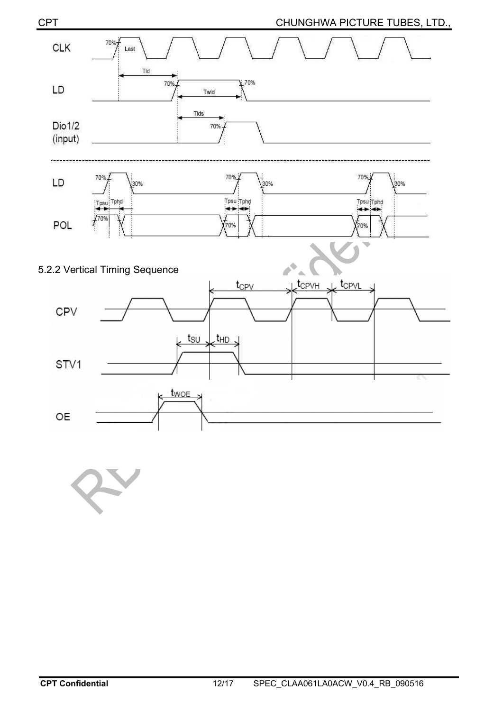



#### 5.2.2 Vertical Timing Sequence

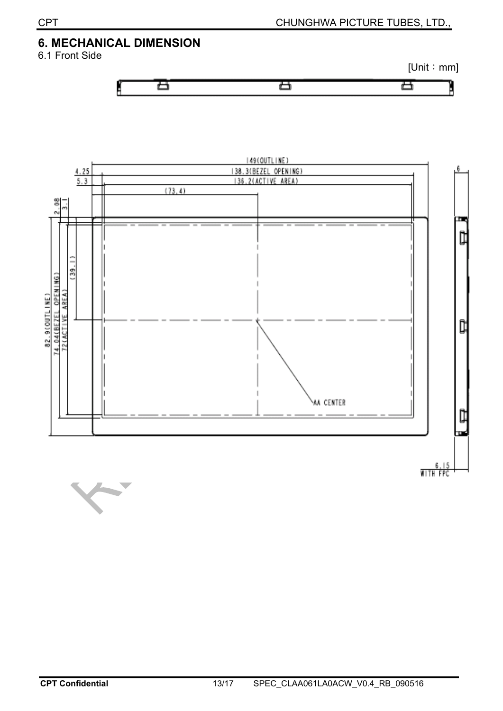# **6. MECHANICAL DIMENSION**

6.1 Front Side





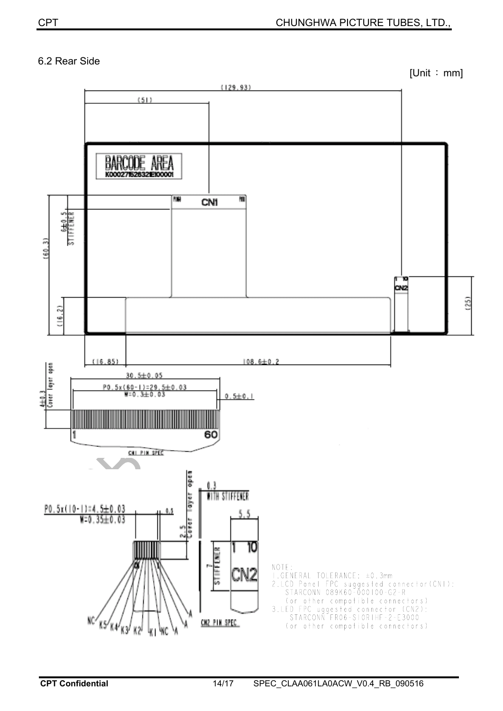#### 6.2 Rear Side

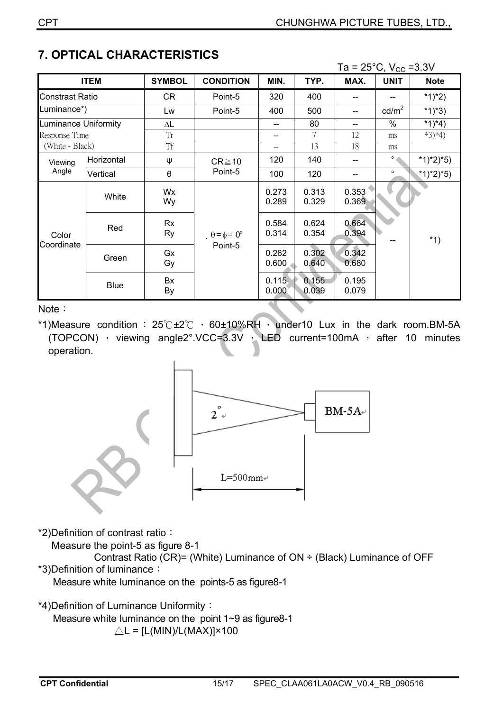|                     |             |                       |                                        |                |                | Ta = $25^{\circ}$ C, V <sub>cc</sub> = 3.3V |                 |             |
|---------------------|-------------|-----------------------|----------------------------------------|----------------|----------------|---------------------------------------------|-----------------|-------------|
|                     | <b>ITEM</b> | <b>SYMBOL</b>         | <b>CONDITION</b>                       | MIN.           | TYP.           | MAX.                                        | <b>UNIT</b>     | <b>Note</b> |
| Constrast Ratio     |             | CR                    | Point-5                                | 320            | 400            |                                             |                 | *1)*2)      |
| uminance*)          |             | Lw                    | Point-5                                | 400            | 500            | --                                          | $\text{cd/m}^2$ | $*1)*3)$    |
| uminance Uniformity |             | $\Delta L$            |                                        |                | 80             | $-$                                         | $\%$            | $*1)*4)$    |
| Response Time       |             | Tr                    |                                        | $-$            | 7              | 12                                          | ms              | $*3)*4)$    |
| (White - Black)     |             | <b>Tf</b>             |                                        | --             | 13             | 18                                          | ms              |             |
| Viewing<br>Angle    | Horizontal  | Ψ                     | $CR \ge 10$<br>Point-5                 | 120            | 140            | $\hspace{0.05cm}$ – $\hspace{0.05cm}$       | $\circ$         | $*1)*2)*5)$ |
|                     | Vertical    | $\boldsymbol{\theta}$ |                                        | 100            | 120            | --                                          | $\circ$         | *1)*2)*5)   |
| Color<br>Coordinate | White       | Wx<br>Wy              | $\theta = \phi = 0^{\circ}$<br>Point-5 | 0.273<br>0.289 | 0.313<br>0.329 | 0.353<br>0.369                              |                 |             |
|                     | Red         | Rx<br>Ry              |                                        | 0.584<br>0.314 | 0.624<br>0.354 | 0.664<br>0.394                              |                 | $*1)$       |
|                     | Green       | Gx<br>Gy              |                                        | 0.262<br>0.600 | 0.302<br>0.640 | 0.342<br>0.680                              |                 |             |
|                     | <b>Blue</b> | Bx<br>By              |                                        | 0.115<br>0.000 | 0.155<br>0.039 | 0.195<br>0.079                              |                 |             |

# **7. OPTICAL CHARACTERISTICS**

Note:

\*1)Measure condition :  $25^\circ$ C +2 $^\circ$ C  $\cdot$  60±10%RH  $\cdot$  under10 Lux in the dark room.BM-5A (TOPCON)  $\cdot$  viewing angle2°.VCC=3.3V  $\cdot$  LED current=100mA  $\cdot$  after 10 minutes operation.



\*2)Definition of contrast ratio:

Measure the point-5 as figure 8-1

Contrast Ratio ( $\text{CR}$ )= (White) Luminance of ON  $\div$  (Black) Luminance of OFF \*3)Definition of luminance:

Measure white luminance on the points-5 as figure8-1

\*4)Definition of Luminance Uniformity:

Measure white luminance on the point 1~9 as figure8-1

 $\triangle L = [L(MIN)/L(MAX)] \times 100$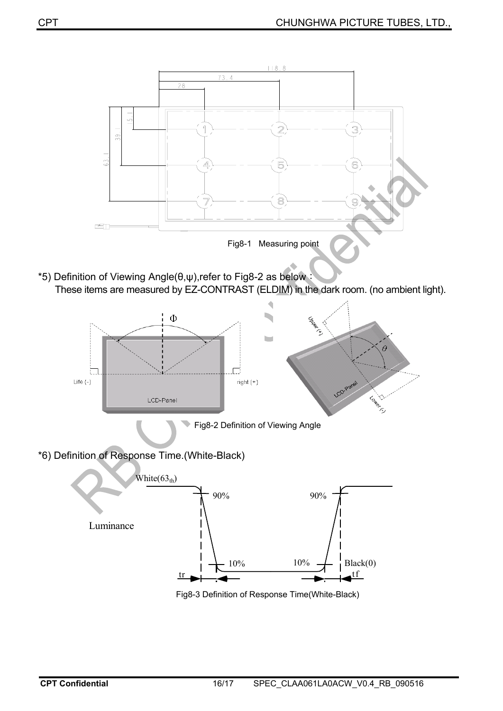

Fig8-1 Measuring point

\*5) Definition of Viewing Angle( $\theta, \psi$ ),refer to Fig8-2 as below  $\ddot{\theta}$ These items are measured by EZ-CONTRAST (ELDIM) in the dark room. (no ambient light).



Fig8-3 Definition of Response Time(White-Black)